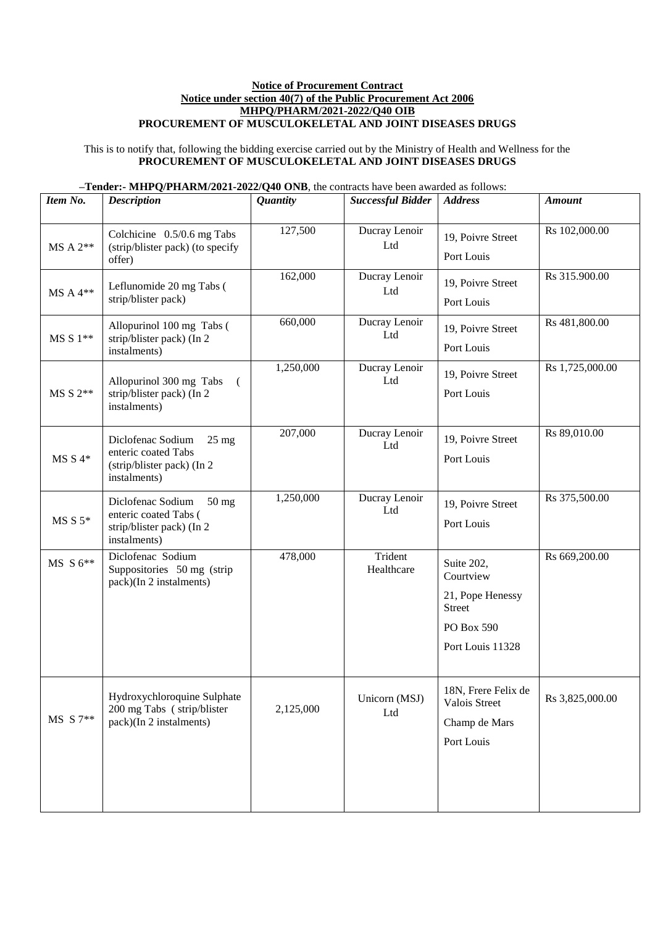## **Notice of Procurement Contract Notice under section 40(7) of the Public Procurement Act 2006 MHPQ/PHARM/2021-2022/Q40 OIB PROCUREMENT OF MUSCULOKELETAL AND JOINT DISEASES DRUGS**

This is to notify that, following the bidding exercise carried out by the Ministry of Health and Wellness for the **PROCUREMENT OF MUSCULOKELETAL AND JOINT DISEASES DRUGS**

## **–Tender:- MHPQ/PHARM/2021-2022/Q40 ONB**, the contracts have been awarded as follows:

| Item No.   | <b>Description</b>                                                                                         | <b>Quantity</b> | <b>Successful Bidder</b> | <b>Address</b>                                                                                 | <b>Amount</b>   |
|------------|------------------------------------------------------------------------------------------------------------|-----------------|--------------------------|------------------------------------------------------------------------------------------------|-----------------|
| $MS A 2**$ | Colchicine 0.5/0.6 mg Tabs<br>(strip/blister pack) (to specify<br>offer)                                   | 127,500         | Ducray Lenoir<br>Ltd     | 19, Poivre Street<br>Port Louis                                                                | Rs 102,000.00   |
| $MS A 4**$ | Leflunomide 20 mg Tabs (<br>strip/blister pack)                                                            | 162,000         | Ducray Lenoir<br>Ltd     | 19, Poivre Street<br>Port Louis                                                                | Rs 315.900.00   |
| $MS S1**$  | Allopurinol 100 mg Tabs (<br>strip/blister pack) (In 2<br>instalments)                                     | 660,000         | Ducray Lenoir<br>Ltd     | 19, Poivre Street<br>Port Louis                                                                | Rs 481,800.00   |
| $MS S 2**$ | Allopurinol 300 mg Tabs<br>$\sqrt{2}$<br>strip/blister pack) (In 2<br>instalments)                         | 1,250,000       | Ducray Lenoir<br>Ltd     | 19, Poivre Street<br>Port Louis                                                                | Rs 1,725,000.00 |
| $MSS4*$    | Diclofenac Sodium<br>$25 \text{ mg}$<br>enteric coated Tabs<br>(strip/blister pack) (In 2)<br>instalments) | 207,000         | Ducray Lenoir<br>Ltd     | 19, Poivre Street<br>Port Louis                                                                | Rs 89,010.00    |
| $MS S 5*$  | Diclofenac Sodium<br>$50 \text{ mg}$<br>enteric coated Tabs (<br>strip/blister pack) (In 2<br>instalments) | 1,250,000       | Ducray Lenoir<br>Ltd     | 19, Poivre Street<br>Port Louis                                                                | Rs 375,500.00   |
| $MS S 6**$ | Diclofenac Sodium<br>Suppositories 50 mg (strip<br>pack)(In 2 instalments)                                 | 478,000         | Trident<br>Healthcare    | Suite 202,<br>Courtview<br>21, Pope Henessy<br><b>Street</b><br>PO Box 590<br>Port Louis 11328 | Rs 669,200.00   |
| MS S 7**   | Hydroxychloroquine Sulphate<br>200 mg Tabs (strip/blister<br>pack)(In 2 instalments)                       | 2,125,000       | Unicorn (MSJ)<br>Ltd     | 18N, Frere Felix de<br>Valois Street<br>Champ de Mars<br>Port Louis                            | Rs 3,825,000.00 |